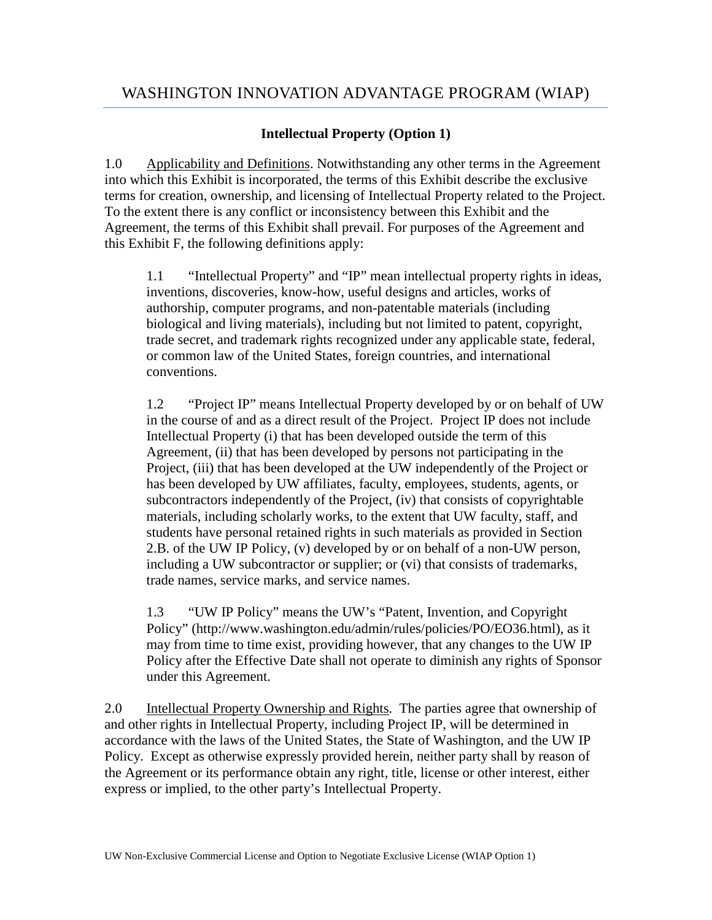## **Intellectual Property (Option 1)**

1.0 Applicability and Definitions. Notwithstanding any other terms in the Agreement into which this Exhibit is incorporated, the terms of this Exhibit describe the exclusive terms for creation, ownership, and licensing of Intellectual Property related to the Project. To the extent there is any conflict or inconsistency between this Exhibit and the Agreement, the terms of this Exhibit shall prevail. For purposes of the Agreement and this Exhibit F, the following definitions apply:

1.1 "Intellectual Property" and "IP" mean intellectual property rights in ideas, inventions, discoveries, know-how, useful designs and articles, works of authorship, computer programs, and non-patentable materials (including biological and living materials), including but not limited to patent, copyright, trade secret, and trademark rights recognized under any applicable state, federal, or common law of the United States, foreign countries, and international conventions.

1.2 "Project IP" means Intellectual Property developed by or on behalf of UW in the course of and as a direct result of the Project. Project IP does not include Intellectual Property (i) that has been developed outside the term of this Agreement, (ii) that has been developed by persons not participating in the Project, (iii) that has been developed at the UW independently of the Project or has been developed by UW affiliates, faculty, employees, students, agents, or subcontractors independently of the Project, (iv) that consists of copyrightable materials, including scholarly works, to the extent that UW faculty, staff, and students have personal retained rights in such materials as provided in Section 2.B. of the UW IP Policy, (v) developed by or on behalf of a non-UW person, including a UW subcontractor or supplier; or (vi) that consists of trademarks, trade names, service marks, and service names.

1.3 "UW IP Policy" means the UW's "Patent, Invention, and Copyright Policy" (http://www.washington.edu/admin/rules/policies/PO/EO36.html), as it may from time to time exist, providing however, that any changes to the UW IP Policy after the Effective Date shall not operate to diminish any rights of Sponsor under this Agreement.

2.0 Intellectual Property Ownership and Rights. The parties agree that ownership of and other rights in Intellectual Property, including Project IP, will be determined in accordance with the laws of the United States, the State of Washington, and the UW IP Policy. Except as otherwise expressly provided herein, neither party shall by reason of the Agreement or its performance obtain any right, title, license or other interest, either express or implied, to the other party's Intellectual Property.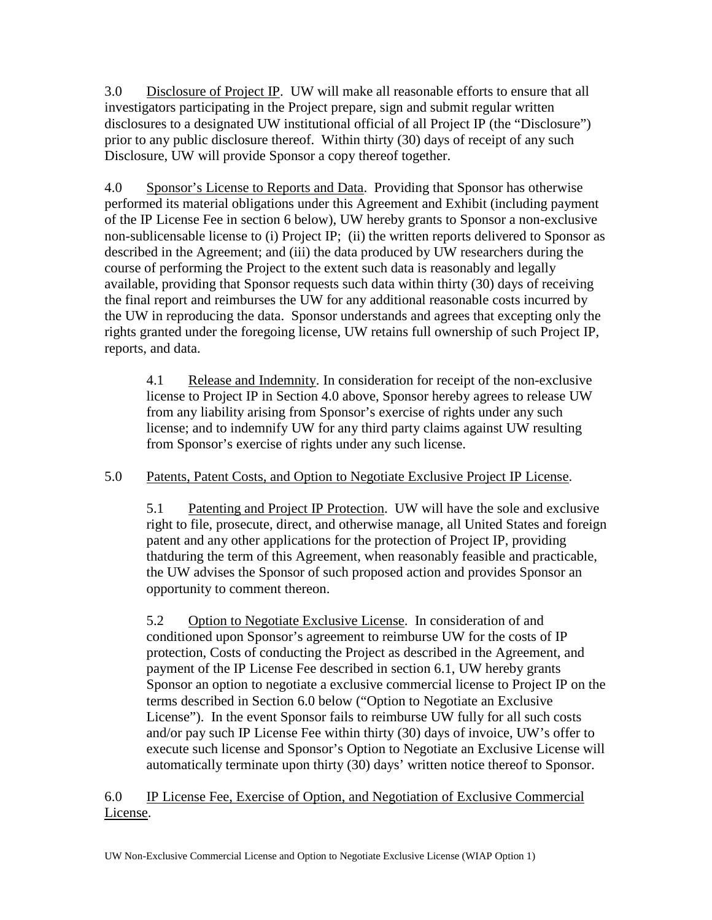3.0 Disclosure of Project IP. UW will make all reasonable efforts to ensure that all investigators participating in the Project prepare, sign and submit regular written disclosures to a designated UW institutional official of all Project IP (the "Disclosure") prior to any public disclosure thereof. Within thirty (30) days of receipt of any such Disclosure, UW will provide Sponsor a copy thereof together.

4.0 Sponsor's License to Reports and Data. Providing that Sponsor has otherwise performed its material obligations under this Agreement and Exhibit (including payment of the IP License Fee in section 6 below), UW hereby grants to Sponsor a non-exclusive non-sublicensable license to (i) Project IP; (ii) the written reports delivered to Sponsor as described in the Agreement; and (iii) the data produced by UW researchers during the course of performing the Project to the extent such data is reasonably and legally available, providing that Sponsor requests such data within thirty (30) days of receiving the final report and reimburses the UW for any additional reasonable costs incurred by the UW in reproducing the data. Sponsor understands and agrees that excepting only the rights granted under the foregoing license, UW retains full ownership of such Project IP, reports, and data.

4.1 Release and Indemnity. In consideration for receipt of the non-exclusive license to Project IP in Section 4.0 above, Sponsor hereby agrees to release UW from any liability arising from Sponsor's exercise of rights under any such license; and to indemnify UW for any third party claims against UW resulting from Sponsor's exercise of rights under any such license.

## 5.0 Patents, Patent Costs, and Option to Negotiate Exclusive Project IP License.

5.1 Patenting and Project IP Protection. UW will have the sole and exclusive right to file, prosecute, direct, and otherwise manage, all United States and foreign patent and any other applications for the protection of Project IP, providing thatduring the term of this Agreement, when reasonably feasible and practicable, the UW advises the Sponsor of such proposed action and provides Sponsor an opportunity to comment thereon.

5.2 Option to Negotiate Exclusive License. In consideration of and conditioned upon Sponsor's agreement to reimburse UW for the costs of IP protection, Costs of conducting the Project as described in the Agreement, and payment of the IP License Fee described in section 6.1, UW hereby grants Sponsor an option to negotiate a exclusive commercial license to Project IP on the terms described in Section 6.0 below ("Option to Negotiate an Exclusive License"). In the event Sponsor fails to reimburse UW fully for all such costs and/or pay such IP License Fee within thirty (30) days of invoice, UW's offer to execute such license and Sponsor's Option to Negotiate an Exclusive License will automatically terminate upon thirty (30) days' written notice thereof to Sponsor.

6.0 IP License Fee, Exercise of Option, and Negotiation of Exclusive Commercial License.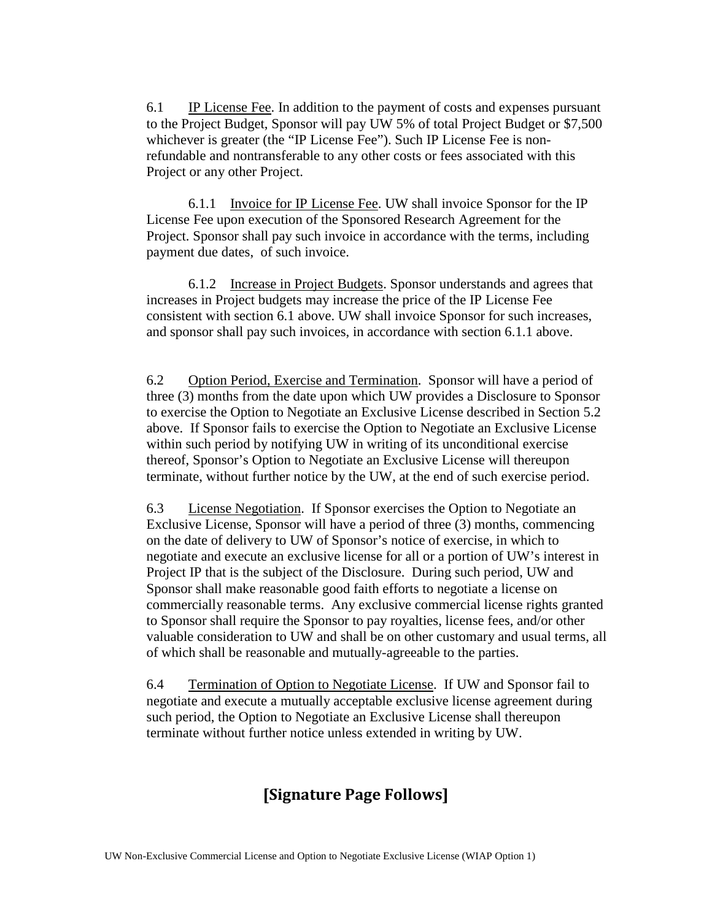6.1 IP License Fee. In addition to the payment of costs and expenses pursuant to the Project Budget, Sponsor will pay UW 5% of total Project Budget or \$7,500 whichever is greater (the "IP License Fee"). Such IP License Fee is nonrefundable and nontransferable to any other costs or fees associated with this Project or any other Project.

6.1.1 Invoice for IP License Fee. UW shall invoice Sponsor for the IP License Fee upon execution of the Sponsored Research Agreement for the Project. Sponsor shall pay such invoice in accordance with the terms, including payment due dates, of such invoice.

6.1.2 Increase in Project Budgets. Sponsor understands and agrees that increases in Project budgets may increase the price of the IP License Fee consistent with section 6.1 above. UW shall invoice Sponsor for such increases, and sponsor shall pay such invoices, in accordance with section 6.1.1 above.

6.2 Option Period, Exercise and Termination. Sponsor will have a period of three (3) months from the date upon which UW provides a Disclosure to Sponsor to exercise the Option to Negotiate an Exclusive License described in Section 5.2 above. If Sponsor fails to exercise the Option to Negotiate an Exclusive License within such period by notifying UW in writing of its unconditional exercise thereof, Sponsor's Option to Negotiate an Exclusive License will thereupon terminate, without further notice by the UW, at the end of such exercise period.

6.3 License Negotiation. If Sponsor exercises the Option to Negotiate an Exclusive License, Sponsor will have a period of three (3) months, commencing on the date of delivery to UW of Sponsor's notice of exercise, in which to negotiate and execute an exclusive license for all or a portion of UW's interest in Project IP that is the subject of the Disclosure. During such period, UW and Sponsor shall make reasonable good faith efforts to negotiate a license on commercially reasonable terms. Any exclusive commercial license rights granted to Sponsor shall require the Sponsor to pay royalties, license fees, and/or other valuable consideration to UW and shall be on other customary and usual terms, all of which shall be reasonable and mutually-agreeable to the parties.

6.4 Termination of Option to Negotiate License. If UW and Sponsor fail to negotiate and execute a mutually acceptable exclusive license agreement during such period, the Option to Negotiate an Exclusive License shall thereupon terminate without further notice unless extended in writing by UW.

# **[Signature Page Follows]**